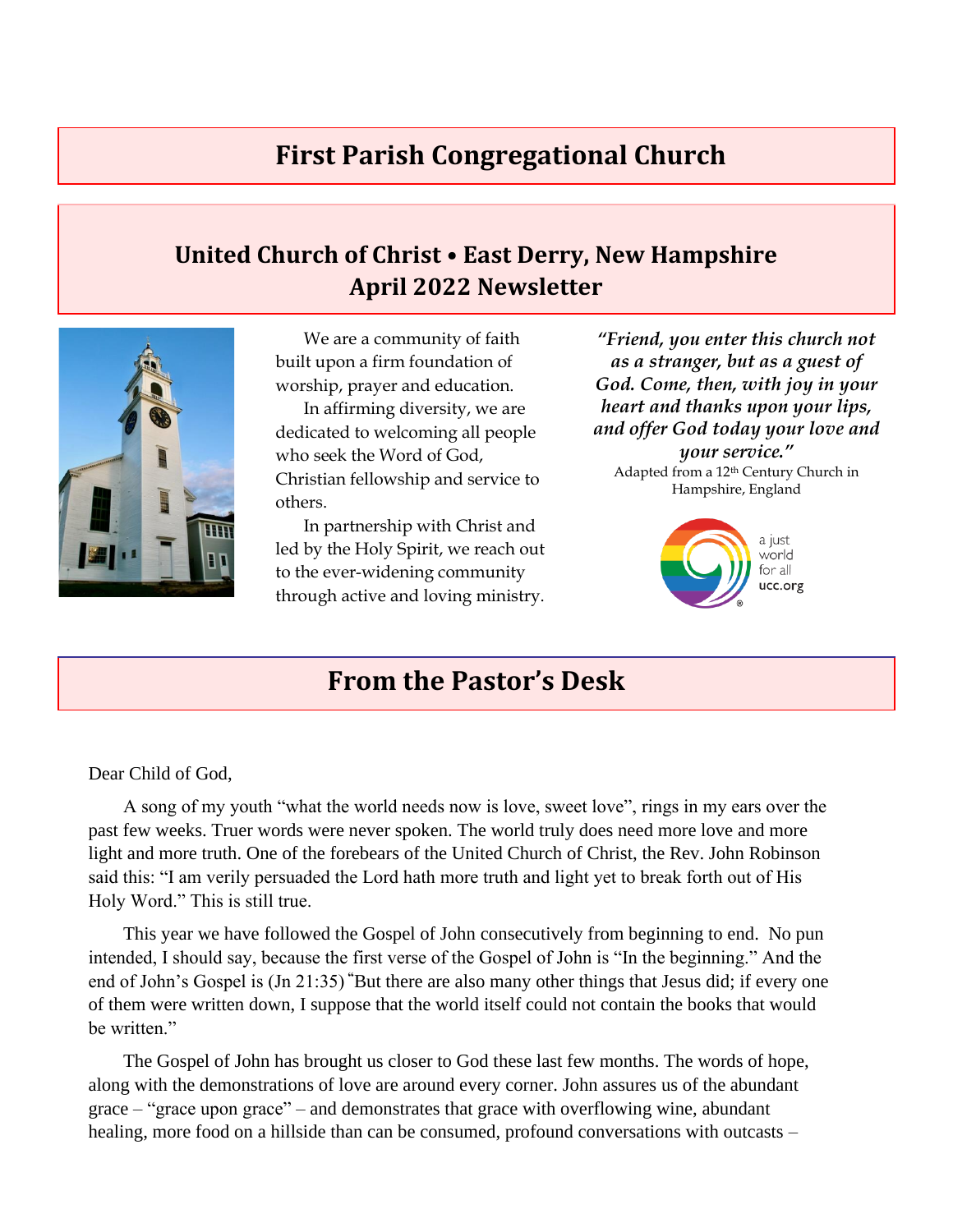## **First Parish Congregational Church**

## **United Church of Christ • East Derry, New Hampshire April 2022 Newsletter**



We are a community of faith built upon a firm foundation of worship, prayer and education.

In affirming diversity, we are dedicated to welcoming all people who seek the Word of God, Christian fellowship and service to others.

In partnership with Christ and led by the Holy Spirit, we reach out to the ever-widening community through active and loving ministry.

*"Friend, you enter this church not as a stranger, but as a guest of God. Come, then, with joy in your heart and thanks upon your lips, and offer God today your love and your service."* Adapted from a 12th Century Church in Hampshire, England



## **From the Pastor's Desk**

Dear Child of God,

A song of my youth "what the world needs now is love, sweet love", rings in my ears over the past few weeks. Truer words were never spoken. The world truly does need more love and more light and more truth. One of the forebears of the United Church of Christ, the Rev. John Robinson said this: "I am verily persuaded the Lord hath more truth and light yet to break forth out of His Holy Word." This is still true.

This year we have followed the Gospel of John consecutively from beginning to end. No pun intended, I should say, because the first verse of the Gospel of John is "In the beginning." And the end of John's Gospel is (Jn 21:35) **"**But there are also many other things that Jesus did; if every one of them were written down, I suppose that the world itself could not contain the books that would be written."

The Gospel of John has brought us closer to God these last few months. The words of hope, along with the demonstrations of love are around every corner. John assures us of the abundant grace – "grace upon grace" – and demonstrates that grace with overflowing wine, abundant healing, more food on a hillside than can be consumed, profound conversations with outcasts –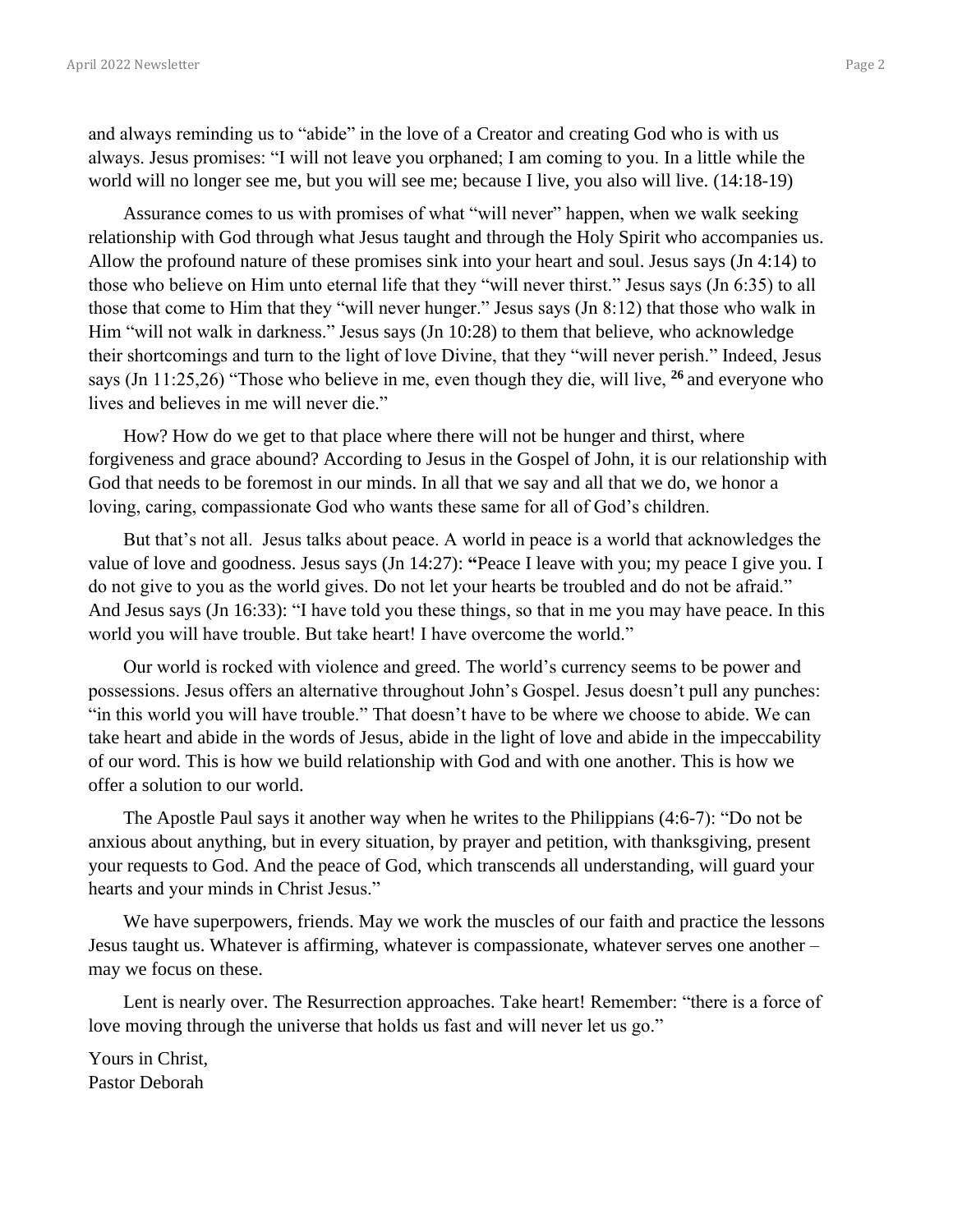and always reminding us to "abide" in the love of a Creator and creating God who is with us always. Jesus promises: "I will not leave you orphaned; I am coming to you. In a little while the world will no longer see me, but you will see me; because I live, you also will live. (14:18-19)

Assurance comes to us with promises of what "will never" happen, when we walk seeking relationship with God through what Jesus taught and through the Holy Spirit who accompanies us. Allow the profound nature of these promises sink into your heart and soul. Jesus says (Jn 4:14) to those who believe on Him unto eternal life that they "will never thirst." Jesus says (Jn 6:35) to all those that come to Him that they "will never hunger." Jesus says (Jn 8:12) that those who walk in Him "will not walk in darkness." Jesus says (Jn 10:28) to them that believe, who acknowledge their shortcomings and turn to the light of love Divine, that they "will never perish." Indeed, Jesus says (Jn 11:25,26) "Those who believe in me, even though they die, will live, **<sup>26</sup>** and everyone who lives and believes in me will never die."

How? How do we get to that place where there will not be hunger and thirst, where forgiveness and grace abound? According to Jesus in the Gospel of John, it is our relationship with God that needs to be foremost in our minds. In all that we say and all that we do, we honor a loving, caring, compassionate God who wants these same for all of God's children.

But that's not all. Jesus talks about peace. A world in peace is a world that acknowledges the value of love and goodness. Jesus says (Jn 14:27): **"**Peace I leave with you; my peace I give you. I do not give to you as the world gives. Do not let your hearts be troubled and do not be afraid." And Jesus says (Jn 16:33): "I have told you these things, so that in me you may have peace. In this world you will have trouble. But take heart! I have overcome the world."

Our world is rocked with violence and greed. The world's currency seems to be power and possessions. Jesus offers an alternative throughout John's Gospel. Jesus doesn't pull any punches: "in this world you will have trouble." That doesn't have to be where we choose to abide. We can take heart and abide in the words of Jesus, abide in the light of love and abide in the impeccability of our word. This is how we build relationship with God and with one another. This is how we offer a solution to our world.

The Apostle Paul says it another way when he writes to the Philippians (4:6-7): "Do not be anxious about anything, but in every situation, by prayer and petition, with thanksgiving, present your requests to God. And the peace of God, which transcends all understanding, will guard your hearts and your minds in Christ Jesus."

We have superpowers, friends. May we work the muscles of our faith and practice the lessons Jesus taught us. Whatever is affirming, whatever is compassionate, whatever serves one another – may we focus on these.

Lent is nearly over. The Resurrection approaches. Take heart! Remember: "there is a force of love moving through the universe that holds us fast and will never let us go."

Yours in Christ, Pastor Deborah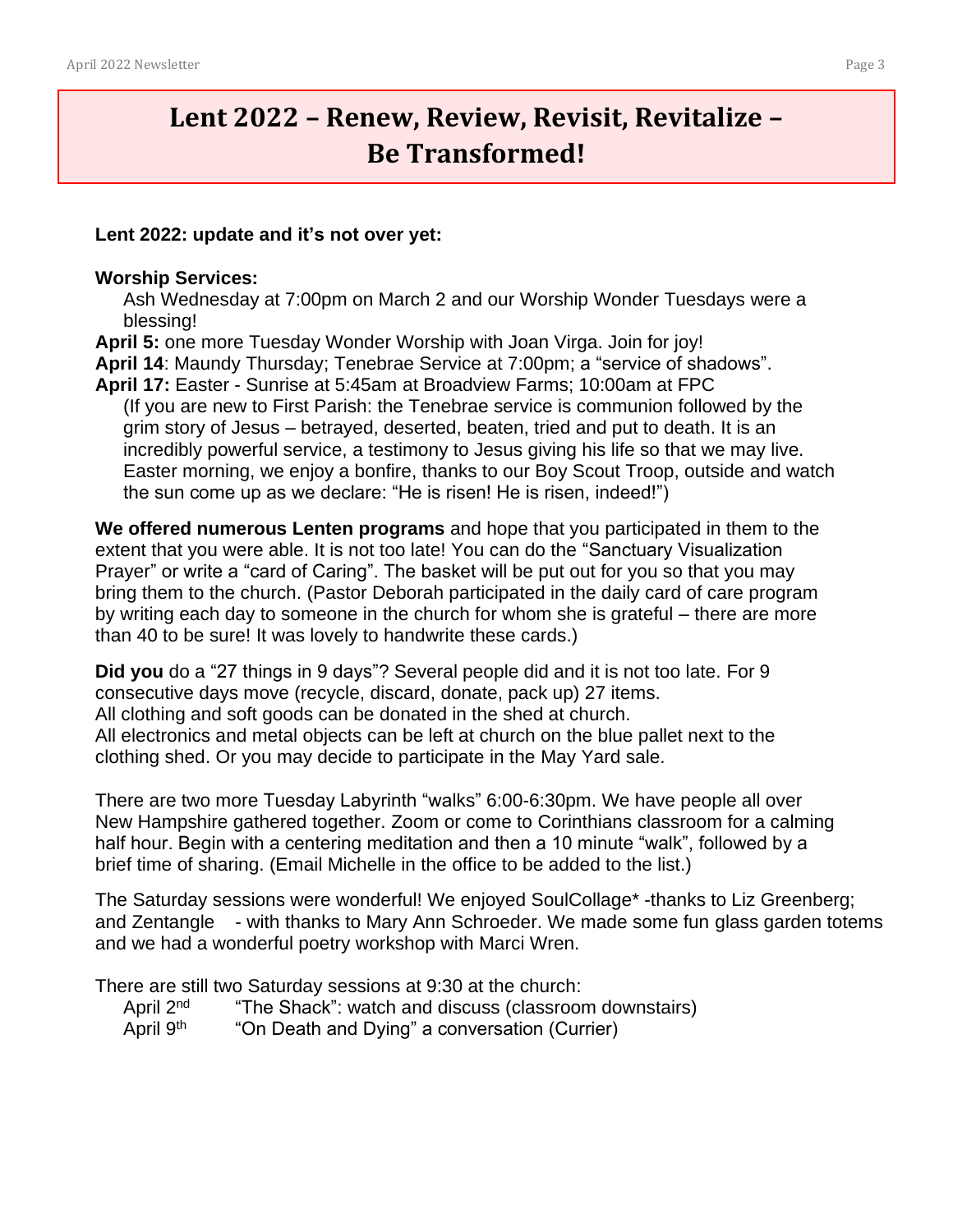# **Lent 2022 – Renew, Review, Revisit, Revitalize – Be Transformed!**

#### **Lent 2022: update and it's not over yet:**

#### **Worship Services:**

Ash Wednesday at 7:00pm on March 2 and our Worship Wonder Tuesdays were a blessing!

**April 5:** one more Tuesday Wonder Worship with Joan Virga. Join for joy!

**April 14**: Maundy Thursday; Tenebrae Service at 7:00pm; a "service of shadows".

**April 17:** Easter - Sunrise at 5:45am at Broadview Farms; 10:00am at FPC (If you are new to First Parish: the Tenebrae service is communion followed by the grim story of Jesus – betrayed, deserted, beaten, tried and put to death. It is an incredibly powerful service, a testimony to Jesus giving his life so that we may live. Easter morning, we enjoy a bonfire, thanks to our Boy Scout Troop, outside and watch the sun come up as we declare: "He is risen! He is risen, indeed!")

**We offered numerous Lenten programs** and hope that you participated in them to the extent that you were able. It is not too late! You can do the "Sanctuary Visualization Prayer" or write a "card of Caring". The basket will be put out for you so that you may bring them to the church. (Pastor Deborah participated in the daily card of care program by writing each day to someone in the church for whom she is grateful – there are more than 40 to be sure! It was lovely to handwrite these cards.)

**Did you** do a "27 things in 9 days"? Several people did and it is not too late. For 9 consecutive days move (recycle, discard, donate, pack up) 27 items. All clothing and soft goods can be donated in the shed at church. All electronics and metal objects can be left at church on the blue pallet next to the clothing shed. Or you may decide to participate in the May Yard sale.

There are two more Tuesday Labyrinth "walks" 6:00-6:30pm. We have people all over New Hampshire gathered together. Zoom or come to Corinthians classroom for a calming half hour. Begin with a centering meditation and then a 10 minute "walk", followed by a brief time of sharing. (Email Michelle in the office to be added to the list.)

The Saturday sessions were wonderful! We enjoyed SoulCollage\* -thanks to Liz Greenberg; and Zentangle - with thanks to Mary Ann Schroeder. We made some fun glass garden totems and we had a wonderful poetry workshop with Marci Wren.

There are still two Saturday sessions at 9:30 at the church:

- April 2<sup>nd</sup> "The Shack": watch and discuss (classroom downstairs)
- April  $9<sup>th</sup>$  "On Death and Dying" a conversation (Currier)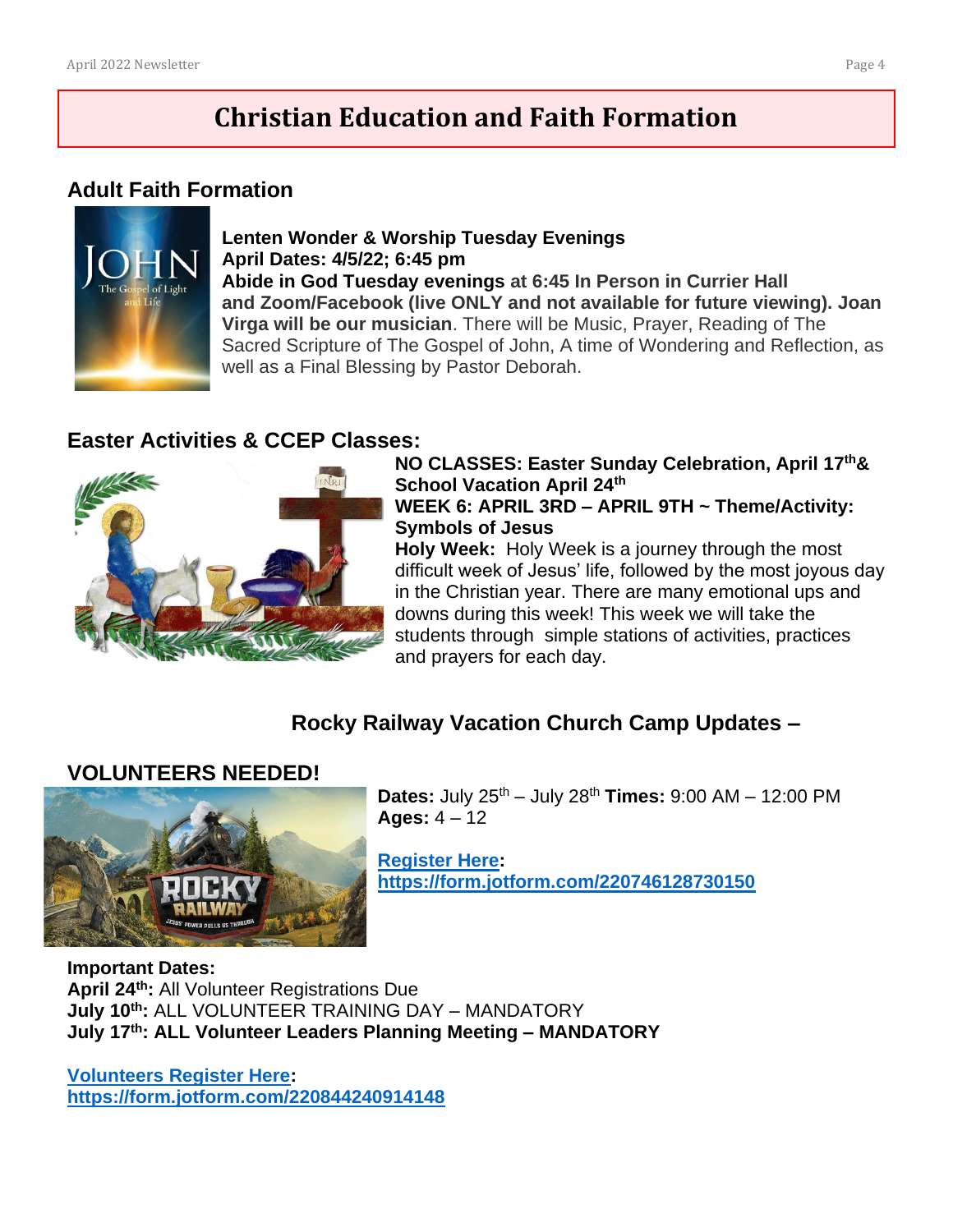# **Christian Education and Faith Formation**

### **Adult Faith Formation**



#### **Lenten Wonder & Worship Tuesday Evenings April Dates: 4/5/22; 6:45 pm Abide in God Tuesday evenings at 6:45 In Person in Currier Hall and Zoom/Facebook (live ONLY and not available for future viewing). Joan Virga will be our musician**. There will be Music, Prayer, Reading of The Sacred Scripture of The Gospel of John, A time of Wondering and Reflection, as well as a Final Blessing by Pastor Deborah.

### **Easter Activities & CCEP Classes:**



**NO CLASSES: Easter Sunday Celebration, April 17th& School Vacation April 24th WEEK 6: APRIL 3RD – APRIL 9TH ~ Theme/Activity: Symbols of Jesus**

**Holy Week:** Holy Week is a journey through the most difficult week of Jesus' life, followed by the most joyous day in the Christian year. There are many emotional ups and downs during this week! This week we will take the students through simple stations of activities, practices and prayers for each day.

### **Rocky Railway Vacation Church Camp Updates –**

### **VOLUNTEERS NEEDED!**



**Dates:** July 25th – July 28th **Times:** 9:00 AM – 12:00 PM **Ages:** 4 – 12

**[Register Here:](https://form.jotform.com/220746128730150) <https://form.jotform.com/220746128730150>**

# **Important Dates:**

**April 24th:** All Volunteer Registrations Due **July 10th:** ALL VOLUNTEER TRAINING DAY – MANDATORY **July 17th: ALL Volunteer Leaders Planning Meeting – MANDATORY**

**[Volunteers Register Here:](file:///C:/Users/offic/Downloads/Volunteers%20Register%20Here:) <https://form.jotform.com/220844240914148>**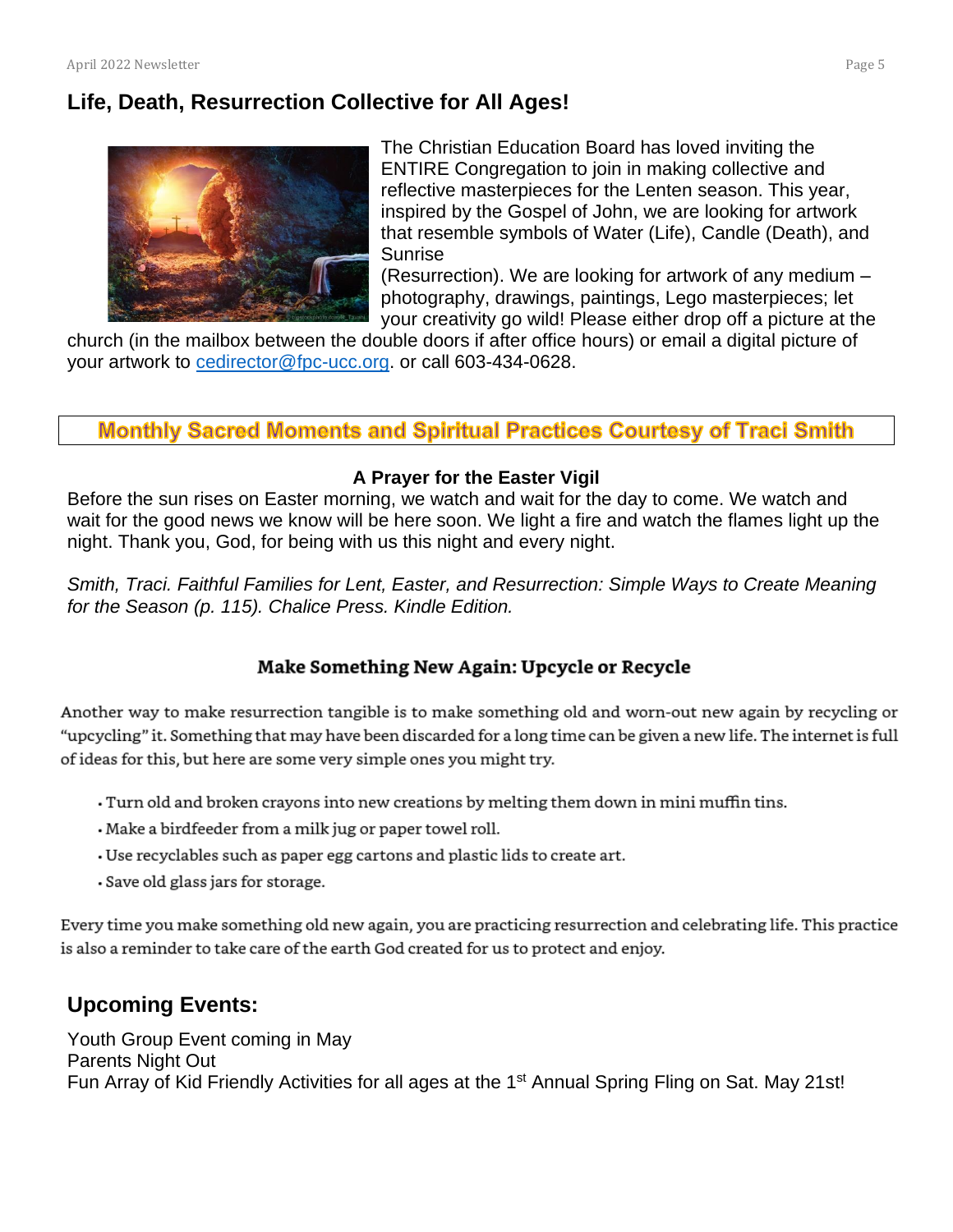### **Life, Death, Resurrection Collective for All Ages!**



The Christian Education Board has loved inviting the ENTIRE Congregation to join in making collective and reflective masterpieces for the Lenten season. This year, inspired by the Gospel of John, we are looking for artwork that resemble symbols of Water (Life), Candle (Death), and Sunrise

(Resurrection). We are looking for artwork of any medium – photography, drawings, paintings, Lego masterpieces; let your creativity go wild! Please either drop off a picture at the

church (in the mailbox between the double doors if after office hours) or email a digital picture of your artwork to [cedirector@fpc-ucc.org.](mailto:cedirector@fpc-ucc.org) or call 603-434-0628.

### **Monthly Sacred Moments and Spiritual Practices Courtesy of Traci Smith**

#### **A Prayer for the Easter Vigil**

Before the sun rises on Easter morning, we watch and wait for the day to come. We watch and wait for the good news we know will be here soon. We light a fire and watch the flames light up the night. Thank you, God, for being with us this night and every night.

*Smith, Traci. Faithful Families for Lent, Easter, and Resurrection: Simple Ways to Create Meaning for the Season (p. 115). Chalice Press. Kindle Edition.*

### Make Something New Again: Upcycle or Recycle

Another way to make resurrection tangible is to make something old and worn-out new again by recycling or "upcycling" it. Something that may have been discarded for a long time can be given a new life. The internet is full of ideas for this, but here are some very simple ones you might try.

- . Turn old and broken crayons into new creations by melting them down in mini muffin tins.
- . Make a birdfeeder from a milk jug or paper towel roll.
- Use recyclables such as paper egg cartons and plastic lids to create art.
- · Save old glass jars for storage.

Every time you make something old new again, you are practicing resurrection and celebrating life. This practice is also a reminder to take care of the earth God created for us to protect and enjoy.

### **Upcoming Events:**

Youth Group Event coming in May Parents Night Out Fun Array of Kid Friendly Activities for all ages at the 1<sup>st</sup> Annual Spring Fling on Sat. May 21st!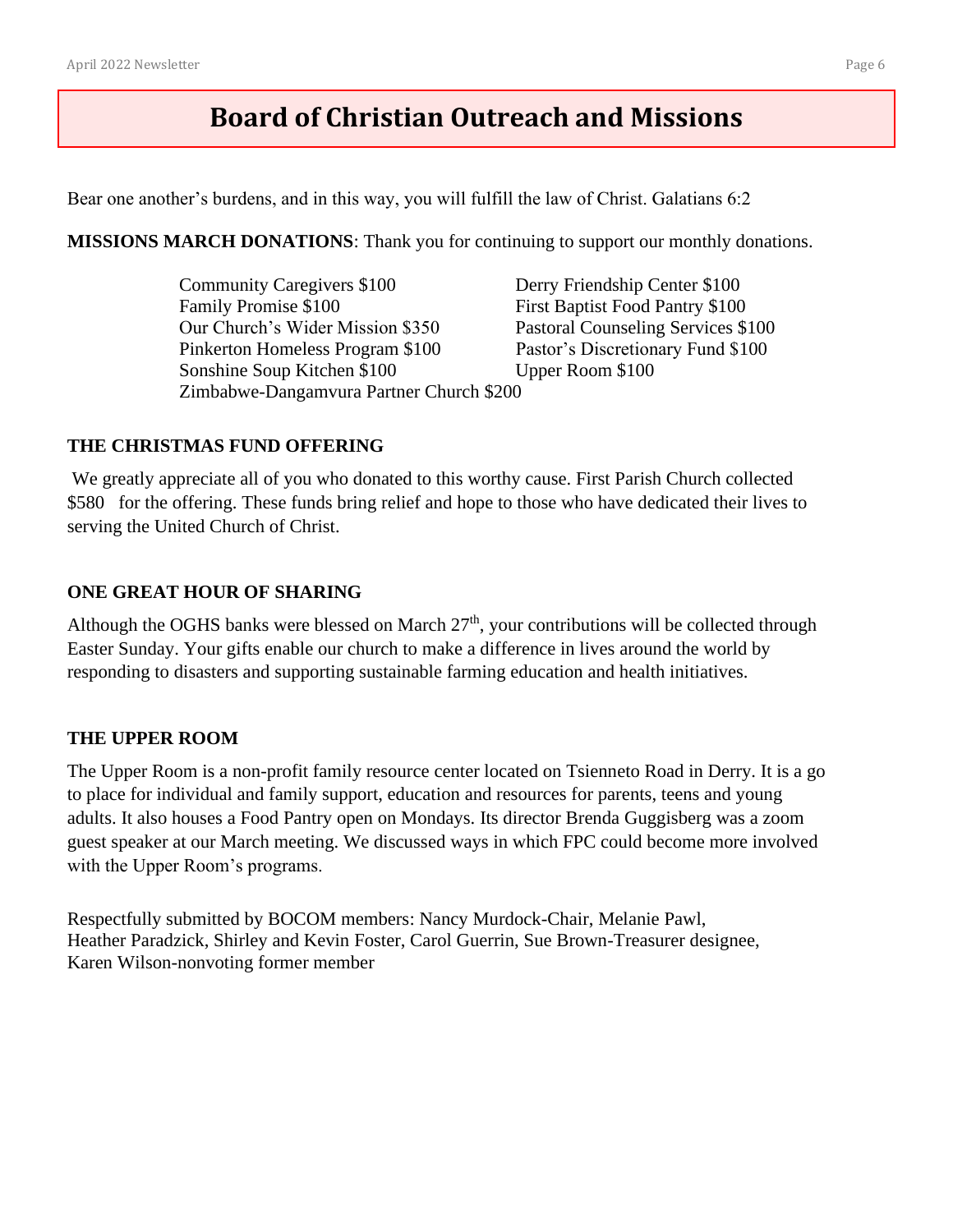# **Board of Christian Outreach and Missions**

Bear one another's burdens, and in this way, you will fulfill the law of Christ. Galatians 6:2

**MISSIONS MARCH DONATIONS**: Thank you for continuing to support our monthly donations.

Community Caregivers \$100 Derry Friendship Center \$100 Family Promise \$100 First Baptist Food Pantry \$100 Our Church's Wider Mission \$350 Pastoral Counseling Services \$100 Pinkerton Homeless Program \$100 Pastor's Discretionary Fund \$100 Sonshine Soup Kitchen \$100 Upper Room \$100 Zimbabwe-Dangamvura Partner Church \$200

#### **THE CHRISTMAS FUND OFFERING**

We greatly appreciate all of you who donated to this worthy cause. First Parish Church collected \$580 for the offering. These funds bring relief and hope to those who have dedicated their lives to serving the United Church of Christ.

#### **ONE GREAT HOUR OF SHARING**

Although the OGHS banks were blessed on March  $27<sup>th</sup>$ , your contributions will be collected through Easter Sunday. Your gifts enable our church to make a difference in lives around the world by responding to disasters and supporting sustainable farming education and health initiatives.

#### **THE UPPER ROOM**

The Upper Room is a non-profit family resource center located on Tsienneto Road in Derry. It is a go to place for individual and family support, education and resources for parents, teens and young adults. It also houses a Food Pantry open on Mondays. Its director Brenda Guggisberg was a zoom guest speaker at our March meeting. We discussed ways in which FPC could become more involved with the Upper Room's programs.

Respectfully submitted by BOCOM members: Nancy Murdock-Chair, Melanie Pawl, Heather Paradzick, Shirley and Kevin Foster, Carol Guerrin, Sue Brown-Treasurer designee, Karen Wilson-nonvoting former member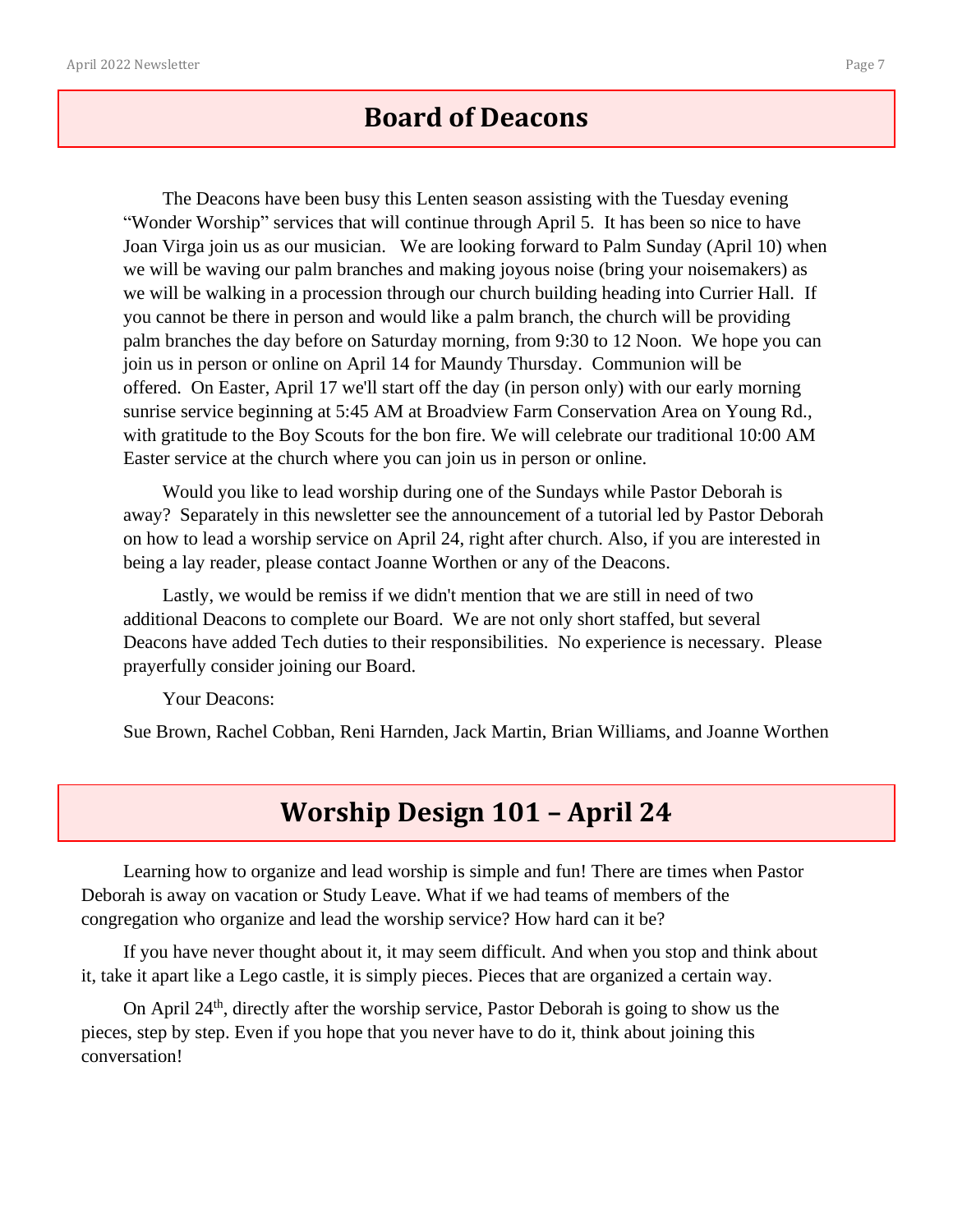## **Board of Deacons**

The Deacons have been busy this Lenten season assisting with the Tuesday evening "Wonder Worship" services that will continue through April 5. It has been so nice to have Joan Virga join us as our musician. We are looking forward to Palm Sunday (April 10) when we will be waving our palm branches and making joyous noise (bring your noisemakers) as we will be walking in a procession through our church building heading into Currier Hall. If you cannot be there in person and would like a palm branch, the church will be providing palm branches the day before on Saturday morning, from 9:30 to 12 Noon. We hope you can join us in person or online on April 14 for Maundy Thursday. Communion will be offered. On Easter, April 17 we'll start off the day (in person only) with our early morning sunrise service beginning at 5:45 AM at Broadview Farm Conservation Area on Young Rd., with gratitude to the Boy Scouts for the bon fire. We will celebrate our traditional 10:00 AM Easter service at the church where you can join us in person or online.

Would you like to lead worship during one of the Sundays while Pastor Deborah is away? Separately in this newsletter see the announcement of a tutorial led by Pastor Deborah on how to lead a worship service on April 24, right after church. Also, if you are interested in being a lay reader, please contact Joanne Worthen or any of the Deacons.

Lastly, we would be remiss if we didn't mention that we are still in need of two additional Deacons to complete our Board. We are not only short staffed, but several Deacons have added Tech duties to their responsibilities. No experience is necessary. Please prayerfully consider joining our Board.

Your Deacons:

Sue Brown, Rachel Cobban, Reni Harnden, Jack Martin, Brian Williams, and Joanne Worthen

## **Worship Design 101 – April 24**

Learning how to organize and lead worship is simple and fun! There are times when Pastor Deborah is away on vacation or Study Leave. What if we had teams of members of the congregation who organize and lead the worship service? How hard can it be?

If you have never thought about it, it may seem difficult. And when you stop and think about it, take it apart like a Lego castle, it is simply pieces. Pieces that are organized a certain way.

On April 24<sup>th</sup>, directly after the worship service, Pastor Deborah is going to show us the pieces, step by step. Even if you hope that you never have to do it, think about joining this conversation!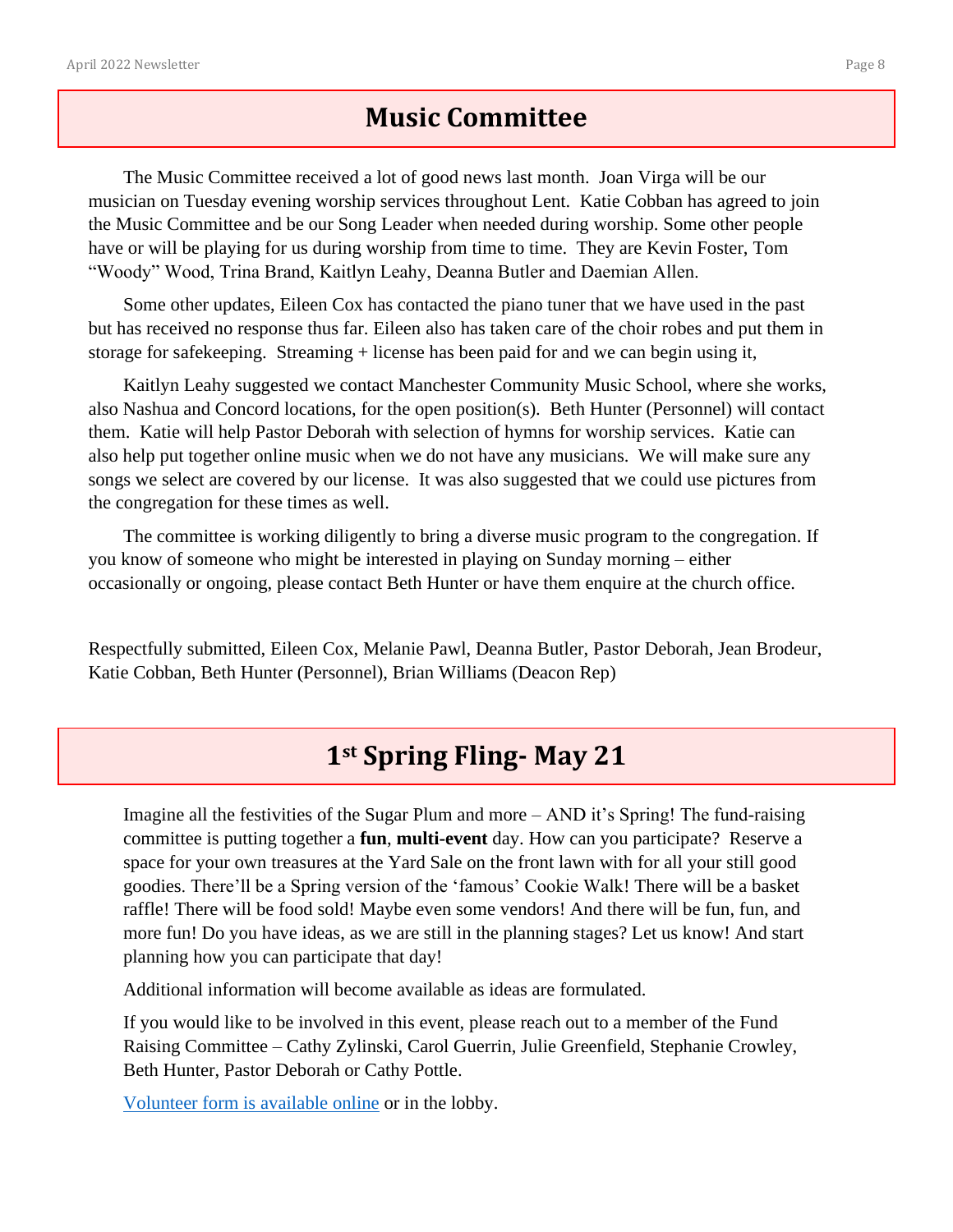## **Music Committee**

The Music Committee received a lot of good news last month. Joan Virga will be our musician on Tuesday evening worship services throughout Lent. Katie Cobban has agreed to join the Music Committee and be our Song Leader when needed during worship. Some other people have or will be playing for us during worship from time to time. They are Kevin Foster, Tom "Woody" Wood, Trina Brand, Kaitlyn Leahy, Deanna Butler and Daemian Allen.

Some other updates, Eileen Cox has contacted the piano tuner that we have used in the past but has received no response thus far. Eileen also has taken care of the choir robes and put them in storage for safekeeping. Streaming + license has been paid for and we can begin using it,

Kaitlyn Leahy suggested we contact Manchester Community Music School, where she works, also Nashua and Concord locations, for the open position(s). Beth Hunter (Personnel) will contact them. Katie will help Pastor Deborah with selection of hymns for worship services. Katie can also help put together online music when we do not have any musicians. We will make sure any songs we select are covered by our license. It was also suggested that we could use pictures from the congregation for these times as well.

The committee is working diligently to bring a diverse music program to the congregation. If you know of someone who might be interested in playing on Sunday morning – either occasionally or ongoing, please contact Beth Hunter or have them enquire at the church office.

Respectfully submitted, Eileen Cox, Melanie Pawl, Deanna Butler, Pastor Deborah, Jean Brodeur, Katie Cobban, Beth Hunter (Personnel), Brian Williams (Deacon Rep)

## **1st Spring Fling- May 21**

Imagine all the festivities of the Sugar Plum and more – AND it's Spring! The fund-raising committee is putting together a **fun**, **multi-event** day. How can you participate? Reserve a space for your own treasures at the Yard Sale on the front lawn with for all your still good goodies. There'll be a Spring version of the 'famous' Cookie Walk! There will be a basket raffle! There will be food sold! Maybe even some vendors! And there will be fun, fun, and more fun! Do you have ideas, as we are still in the planning stages? Let us know! And start planning how you can participate that day!

Additional information will become available as ideas are formulated.

If you would like to be involved in this event, please reach out to a member of the Fund Raising Committee – Cathy Zylinski, Carol Guerrin, Julie Greenfield, Stephanie Crowley, Beth Hunter, Pastor Deborah or Cathy Pottle.

Volunteer form [is available online](https://fpc-ucc.org/Wordpress/wp-content/uploads/2022/03/Spring-Fling-signup-2022.pdf) or in the lobby.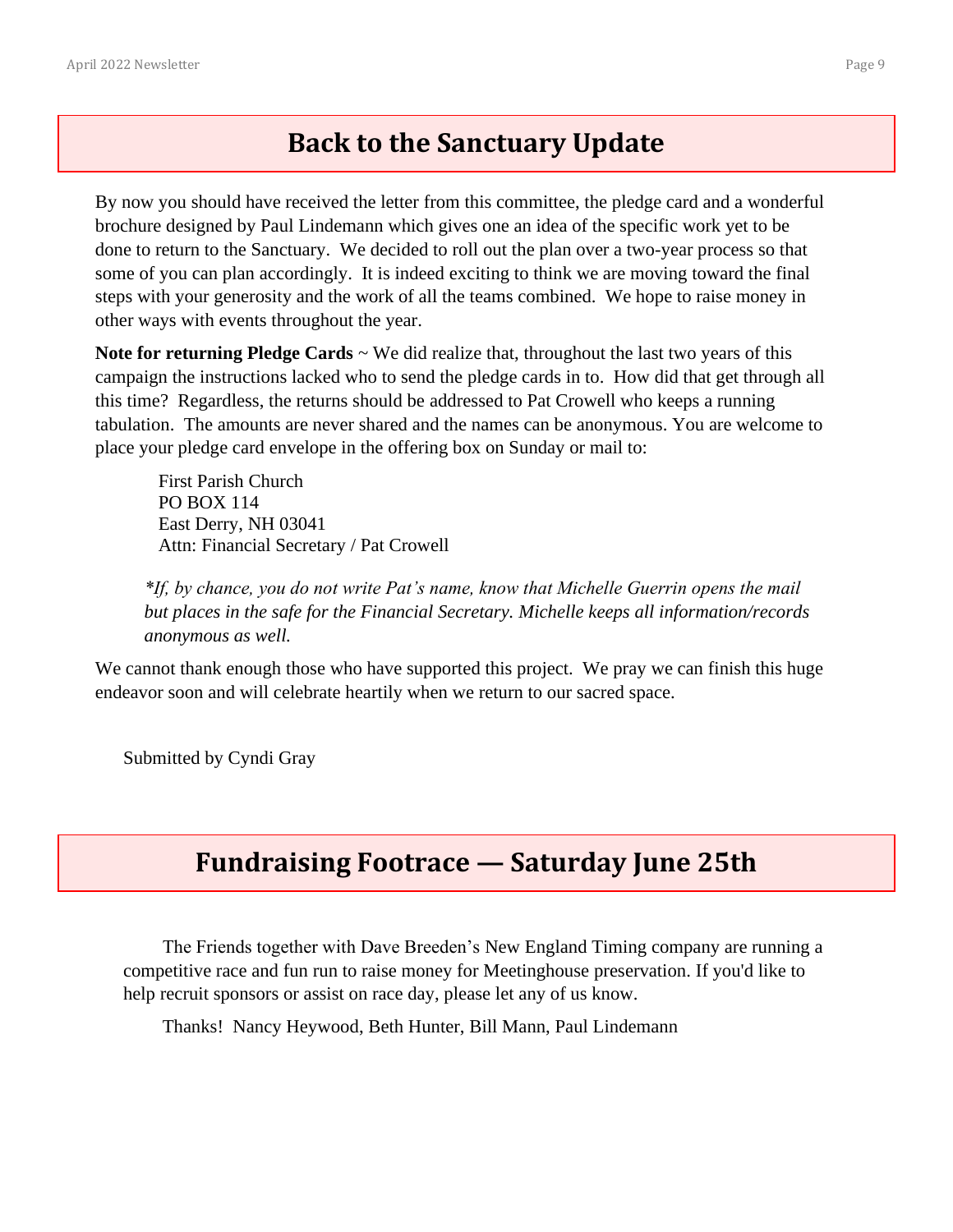## **Back to the Sanctuary Update**

By now you should have received the letter from this committee, the pledge card and a wonderful brochure designed by Paul Lindemann which gives one an idea of the specific work yet to be done to return to the Sanctuary. We decided to roll out the plan over a two-year process so that some of you can plan accordingly. It is indeed exciting to think we are moving toward the final steps with your generosity and the work of all the teams combined. We hope to raise money in other ways with events throughout the year.

**Note for returning Pledge Cards** ~ We did realize that, throughout the last two years of this campaign the instructions lacked who to send the pledge cards in to. How did that get through all this time? Regardless, the returns should be addressed to Pat Crowell who keeps a running tabulation. The amounts are never shared and the names can be anonymous. You are welcome to place your pledge card envelope in the offering box on Sunday or mail to:

First Parish Church PO BOX 114 East Derry, NH 03041 Attn: Financial Secretary / Pat Crowell

*\*If, by chance, you do not write Pat's name, know that Michelle Guerrin opens the mail but places in the safe for the Financial Secretary. Michelle keeps all information/records anonymous as well.*

We cannot thank enough those who have supported this project. We pray we can finish this huge endeavor soon and will celebrate heartily when we return to our sacred space.

Submitted by Cyndi Gray

## **Fundraising Footrace — Saturday June 25th**

The Friends together with Dave Breeden's [New England Timing](https://www.ne-timing.com/) company are running a competitive race and fun run to raise money for Meetinghouse preservation. If you'd like to help recruit sponsors or assist on race day, please let any of us know.

Thanks! Nancy Heywood, Beth Hunter, Bill Mann, Paul Lindemann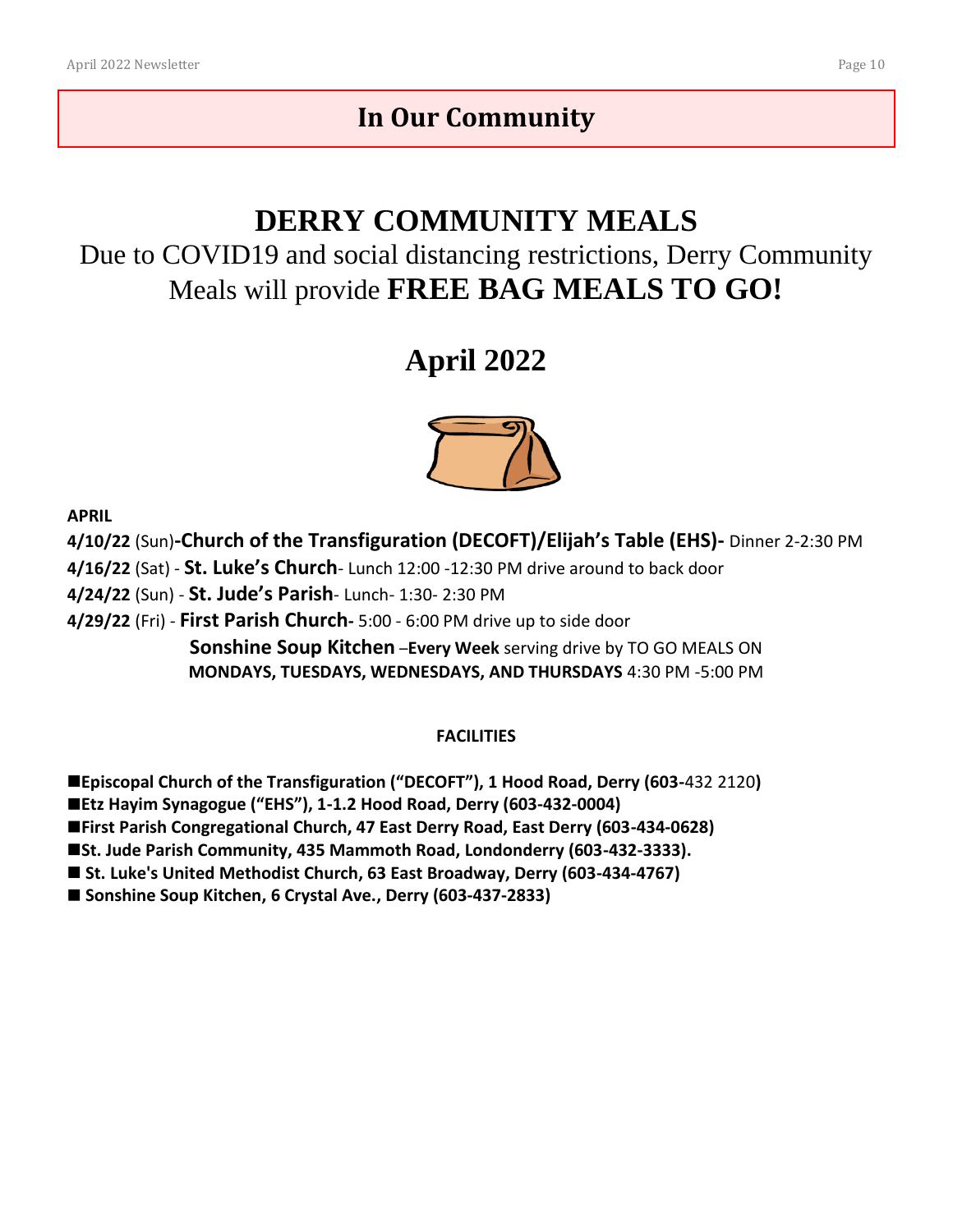# **In Our Community**

# **DERRY COMMUNITY MEALS**

Due to COVID19 and social distancing restrictions, Derry Community Meals will provide **FREE BAG MEALS TO GO!**

# **April 2022**



**APRIL**

**4/10/22** (Sun)**-Church of the Transfigurati[on \(DE](https://creativecommons.org/licenses/by-sa/3.0/)CO[FT\)/E](https://creativecommons.org/licenses/by-sa/3.0/)lijah's Table (EHS)-** Dinner 2-2:30 PM **4/16/22** (Sat) - **St. Luke's Church**- Lunch 12:00 -12:30 PM drive around to back door **4/24/22** (Sun) - **St. Jude's Parish**- Lunch- 1:30- 2:30 PM **4/29/22** (Fri) - **First Parish Church-** 5:00 - 6:00 PM drive up to side door **Sonshine Soup Kitchen** –**Every Week** serving drive by TO GO MEALS ON **MONDAYS, TUESDAYS, WEDNESDAYS, AND THURSDAYS** 4:30 PM -5:00 PM

#### **FACILITIES**

■Episcopal Church of the Transfiguration ("DECOFT"), 1 Hood Road, Derry (603-432 2120) ◼**Etz Hayim Synagogue ("EHS"), 1-1.2 Hood Road, Derry (603-432-0004)**  ◼**First Parish Congregational Church, 47 East Derry Road, East Derry (603-434-0628)** ■St. Jude Parish Community, 435 Mammoth Road, Londonderry (603-432-3333).

■ St. Luke's United Methodist Church, 63 East Broadway, Derry (603-434-4767)

■ Sonshine Soup Kitchen, 6 Crystal Ave., Derry (603-437-2833)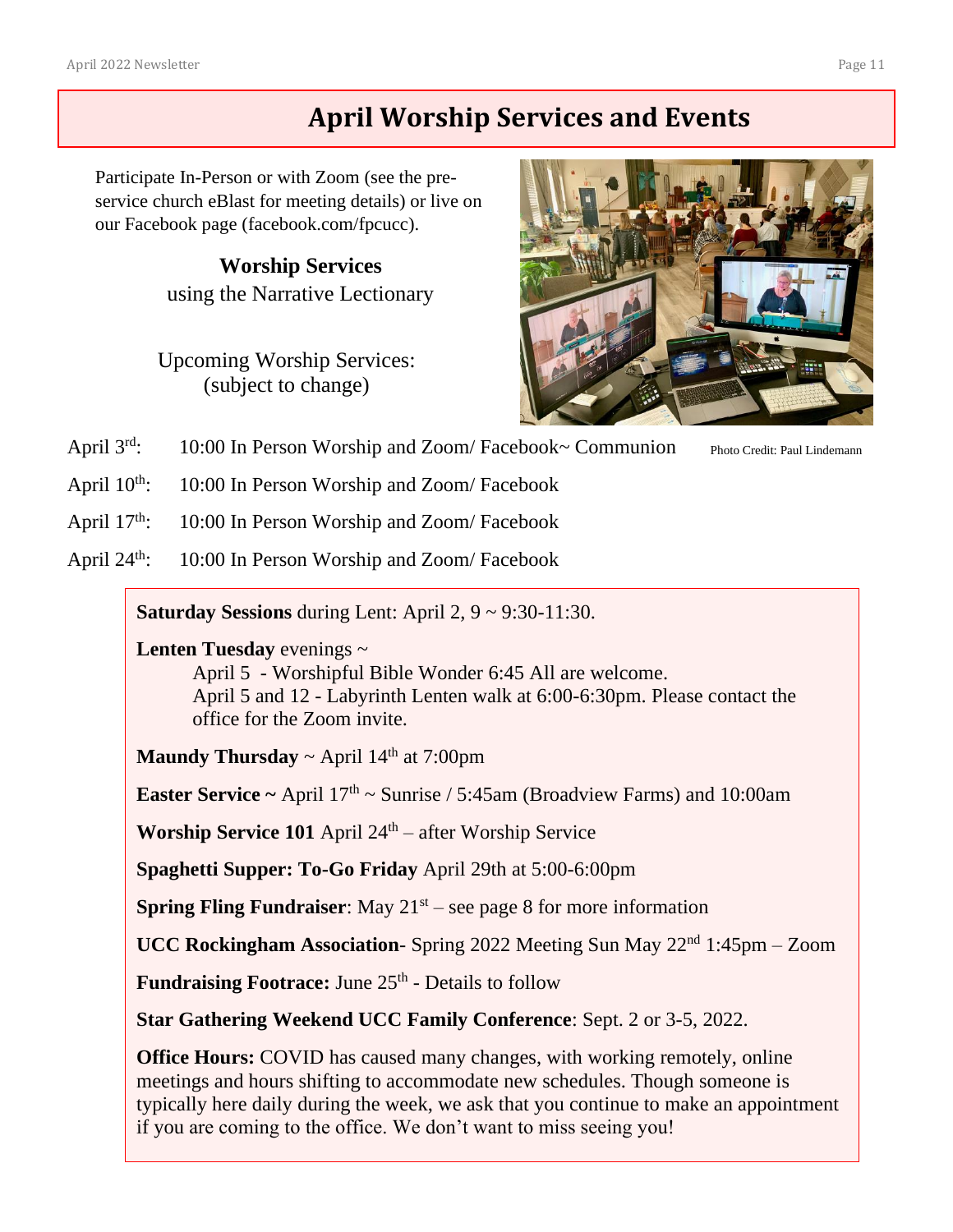# **April Worship Services and Events**

Participate In-Person or with Zoom (see the preservice church eBlast for meeting details) or live on our Facebook page [\(facebook.com/fpcucc\)](https://www.facebook.com/fpcucc).

> **Worship Services** using the Narrative Lectionary

Upcoming Worship Services: (subject to change)



April  $3^{rd}$ : 10:00 In Person Worship and Zoom/ Facebook~ Communion

Photo Credit: Paul Lindemann

April  $10^{th}$ : 10:00 In Person Worship and Zoom/Facebook

April 17<sup>th</sup>: 10:00 In Person Worship and Zoom/Facebook

April 24<sup>th</sup>: 10:00 In Person Worship and Zoom/Facebook

**Saturday Sessions** during Lent: April 2, 9 ~ 9:30-11:30.

**Lenten Tuesday** evenings ~ April 5 - Worshipful Bible Wonder 6:45 All are welcome. April 5 and 12 - Labyrinth Lenten walk at 6:00-6:30pm. Please contact the office for the Zoom invite.

**Maundy Thursday**  $\sim$  April 14<sup>th</sup> at 7:00pm

**Easter Service ~** April  $17<sup>th</sup>$  ~ Sunrise / 5:45am (Broadview Farms) and 10:00am

Worship Service 101 April 24<sup>th</sup> – after Worship Service

**Spaghetti Supper: To-Go Friday** April 29th at 5:00-6:00pm

**Spring Fling Fundraiser:** May  $21<sup>st</sup>$  – see page 8 for more information

**UCC Rockingham Association**- Spring 2022 Meeting Sun May 22nd 1:45pm – Zoom

**Fundraising Footrace:** June 25<sup>th</sup> - Details to follow

**Star Gathering Weekend UCC Family Conference**: Sept. 2 or 3-5, 2022.

**Office Hours:** COVID has caused many changes, with working remotely, online meetings and hours shifting to accommodate new schedules. Though someone is typically here daily during the week, we ask that you continue to make an appointment if you are coming to the office. We don't want to miss seeing you!